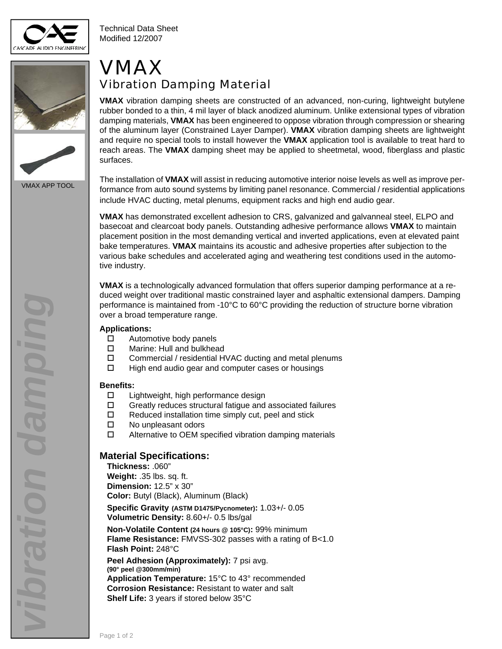

Technical Data Sheet Modified 12/2007





VMAX APP TOOL

## VMAX Vibration Damping Material

**VMAX** vibration damping sheets are constructed of an advanced, non-curing, lightweight butylene rubber bonded to a thin, 4 mil layer of black anodized aluminum. Unlike extensional types of vibration damping materials, **VMAX** has been engineered to oppose vibration through compression or shearing of the aluminum layer (Constrained Layer Damper). **VMAX** vibration damping sheets are lightweight and require no special tools to install however the **VMAX** application tool is available to treat hard to reach areas. The **VMAX** damping sheet may be applied to sheetmetal, wood, fiberglass and plastic surfaces.

The installation of **VMAX** will assist in reducing automotive interior noise levels as well as improve performance from auto sound systems by limiting panel resonance. Commercial / residential applications include HVAC ducting, metal plenums, equipment racks and high end audio gear.

**VMAX** has demonstrated excellent adhesion to CRS, galvanized and galvanneal steel, ELPO and basecoat and clearcoat body panels. Outstanding adhesive performance allows **VMAX** to maintain placement position in the most demanding vertical and inverted applications, even at elevated paint bake temperatures. **VMAX** maintains its acoustic and adhesive properties after subjection to the various bake schedules and accelerated aging and weathering test conditions used in the automotive industry.

**VMAX** is a technologically advanced formulation that offers superior damping performance at a reduced weight over traditional mastic constrained layer and asphaltic extensional dampers. Damping performance is maintained from -10°C to 60°C providing the reduction of structure borne vibration over a broad temperature range.

#### **Applications:**

- $\Box$  Automotive body panels
- □ Marine: Hull and bulkhead
- □ Commercial / residential HVAC ducting and metal plenums
- $\Box$  High end audio gear and computer cases or housings

#### **Benefi ts:**

- $\square$  Lightweight, high performance design
- Greatly reduces structural fatigue and associated failures
- $\Box$  Reduced installation time simply cut, peel and stick
- □ No unpleasant odors
- $\Box$  Alternative to OEM specified vibration damping materials

### **Material Specifi cations:**

**Thickness:** .060"

**Weight:** .35 lbs. sq. ft. **Dimension:** 12.5" x 30" **Color:** Butyl (Black), Aluminum (Black)

**Specifi c Gravity (ASTM D1475/Pycnometer):** 1.03+/- 0.05 **Volumetric Density:** 8.60+/- 0.5 lbs/gal

**Non-Volatile Content (24 hours @ 105°C):** 99% minimum **Flame Resistance:** FMVSS-302 passes with a rating of B<1.0 **Flash Point:** 248°C

**Peel Adhesion (Approximately):** 7 psi avg. **(90° peel @300mm/min) Application Temperature:** 15°C to 43° recommended **Corrosion Resistance:** Resistant to water and salt **Shelf Life:** 3 years if stored below 35°C